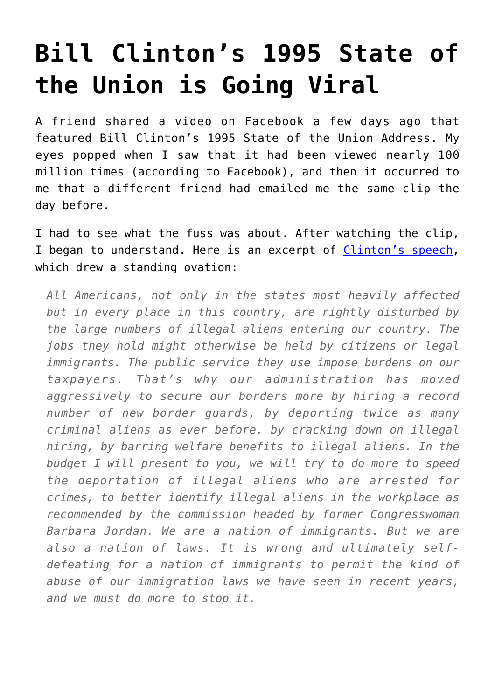## **[Bill Clinton's 1995 State of](https://intellectualtakeout.org/2017/02/bill-clintons-1995-state-of-the-union-is-going-viral/) [the Union is Going Viral](https://intellectualtakeout.org/2017/02/bill-clintons-1995-state-of-the-union-is-going-viral/)**

A friend shared a video on Facebook a few days ago that featured Bill Clinton's 1995 State of the Union Address. My eyes popped when I saw that it had been viewed nearly 100 million times (according to Facebook), and then it occurred to me that a different friend had emailed me the same clip the day before.

I had to see what the fuss was about. After watching the clip, I began to understand. Here is an excerpt of [Clinton's speech,](http://millercenter.org/president/clinton/speeches/speech-3440) which drew a standing ovation:

*All Americans, not only in the states most heavily affected but in every place in this country, are rightly disturbed by the large numbers of illegal aliens entering our country. The jobs they hold might otherwise be held by citizens or legal immigrants. The public service they use impose burdens on our taxpayers. That's why our administration has moved aggressively to secure our borders more by hiring a record number of new border guards, by deporting twice as many criminal aliens as ever before, by cracking down on illegal hiring, by barring welfare benefits to illegal aliens. In the budget I will present to you, we will try to do more to speed the deportation of illegal aliens who are arrested for crimes, to better identify illegal aliens in the workplace as recommended by the commission headed by former Congresswoman Barbara Jordan. We are a nation of immigrants. But we are also a nation of laws. It is wrong and ultimately selfdefeating for a nation of immigrants to permit the kind of abuse of our immigration laws we have seen in recent years, and we must do more to stop it.*